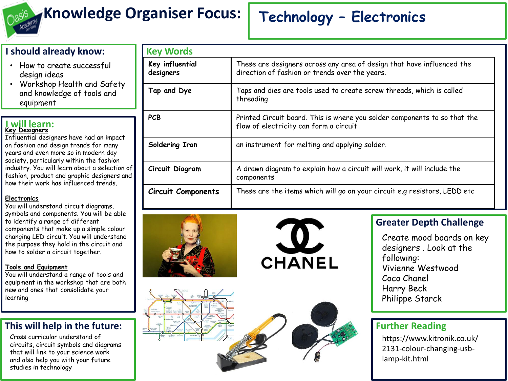

# **Knowledge Organiser Focus: Technology – Electronics**

### **I should already know:**

- How to create successful design ideas
- Workshop Health and Safety and knowledge of tools and equipment

#### **I will learn: Key Designers**

Influential designers have had an impact on fashion and design trends for many years and even more so in modern day society, particularly within the fashion industry. You will learn about a selection of fashion, product and graphic designers and how their work has influenced trends.

### **Electronics**

You will understand circuit diagrams, symbols and components. You will be able to identify a range of different components that make up a simple colour changing LED circuit. You will understand the purpose they hold in the circuit and how to solder a circuit together.

### **Tools and Equipment**

You will understand a range of tools and equipment in the workshop that are both new and ones that consolidate your learning

### **This will help in the future:**

Cross curricular understand of circuits, circuit symbols and diagrams that will link to your science work and also help you with your future studies in technology

| <b>Key Words</b>             |                                                                                                                          |
|------------------------------|--------------------------------------------------------------------------------------------------------------------------|
| Key influential<br>designers | These are designers across any area of design that have influenced the<br>direction of fashion or trends over the years. |
| Tap and Dye                  | Taps and dies are tools used to create screw threads, which is called<br>threading                                       |
| <b>PCB</b>                   | Printed Circuit board. This is where you solder components to so that the<br>flow of electricity can form a circuit      |
| Soldering Iron               | an instrument for melting and applying solder.                                                                           |
| Circuit Diagram              | A drawn diagram to explain how a circuit will work, it will include the<br>components                                    |
| <b>Circuit Components</b>    | These are the items which will go on your circuit e.g resistors, LEDD etc                                                |







Create mood boards on key designers . Look at the following: Vivienne Westwood Coco Chanel Harry Beck Philippe Starck

## **Further Reading**

https://www.kitronik.co.uk/ 2131-colour-changing-usblamp-kit.html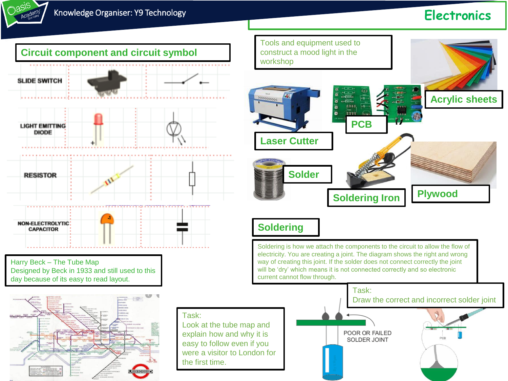

# **Knowledge Organiser: Y9 Technology Electronics**



Harry Beck – The Tube Map Designed by Beck in 1933 and still used to this day because of its easy to read layout.



Task:

Look at the tube map and explain how and why it is easy to follow even if you were a visitor to London for the first time.



# **Soldering**

Soldering is how we attach the components to the circuit to allow the flow of electricity. You are creating a joint. The diagram shows the right and wrong way of creating this joint. If the solder does not connect correctly the joint will be 'dry' which means it is not connected correctly and so electronic current cannot flow through.